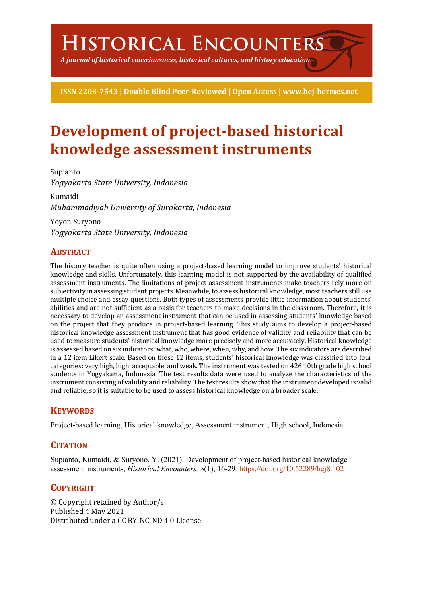# **Historical Encounters**

*A journal of historical consciousness, historical cultures, and history education*

**ISSN 2203-7543 | Double Blind Peer-Reviewed | Open Access | www.hej-hermes.net**

# **Development of project-based historical knowledge assessment instruments**

Supianto *Yogyakarta State University, Indonesia* Kumaidi *Muhammadiyah University of Surakarta, Indonesia*

Yoyon Suryono *Yogyakarta State University, Indonesia*

# **ABSTRACT**

The history teacher is quite often using a project-based learning model to improve students' historical knowledge and skills. Unfortunately, this learning model is not supported by the availability of qualified assessment instruments. The limitations of project assessment instruments make teachers rely more on subjectivity in assessing student projects. Meanwhile, to assess historical knowledge, most teachers still use multiple choice and essay questions. Both types of assessments provide little information about students' abilities and are not sufficient as a basis for teachers to make decisions in the classroom. Therefore, it is necessary to develop an assessment instrument that can be used in assessing students' knowledge based on the project that they produce in project-based learning. This study aims to develop a project-based historical knowledge assessment instrument that has good evidence of validity and reliability that can be used to measure students' historical knowledge more precisely and more accurately. Historical knowledge is assessed based on six indicators: what, who, where, when, why, and how. The six indicators are described in a 12 item Likert scale. Based on these 12 items, students' historical knowledge was classified into four categories: very high, high, acceptable, and weak. The instrument was tested on 426 10th grade high school students in Yogyakarta, Indonesia. The test results data were used to analyze the characteristics of the instrument consisting of validity and reliability. The test results show that the instrument developed is valid and reliable, so it is suitable to be used to assess historical knowledge on a broader scale.

### **KEYWORDS**

Project-based learning, Historical knowledge, Assessment instrument, High school, Indonesia

# **CITATION**

Supianto, Kumaidi, & Suryono, Y. (2021). Development of project-based historical knowledge assessment instruments, *Historical Encounters, 8*(1), 16-29*.* https://doi.org/10.52289/hej8.102

# **COPYRIGHT**

© Copyright retained by Author/s Published 4 May 2021 Distributed under a CC BY-NC-ND 4.0 License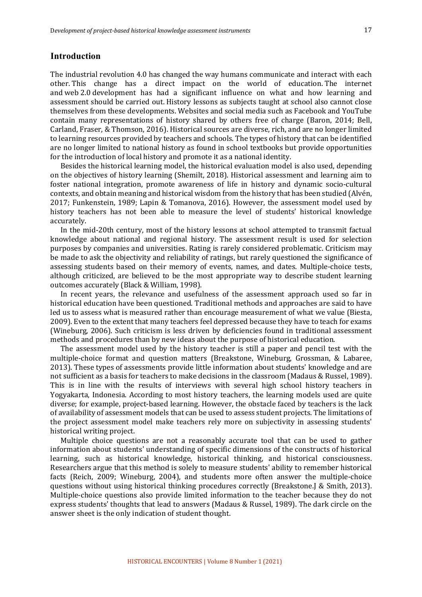#### **Introduction**

The industrial revolution 4.0 has changed the way humans communicate and interact with each other. This change has a direct impact on the world of education. The internet and web 2.0 development has had a significant influence on what and how learning and assessment should be carried out. History lessons as subjects taught at school also cannot close themselves from these developments. Websites and social media such as Facebook and YouTube contain many representations of history shared by others free of charge (Baron, 2014; Bell, Carland, Fraser, & Thomson, 2016). Historical sources are diverse, rich, and are no longer limited to learning resources provided by teachers and schools. The types of history that can be identified are no longer limited to national history as found in school textbooks but provide opportunities for the introduction of local history and promote it as a national identity.

Besides the historical learning model, the historical evaluation model is also used, depending on the objectives of history learning (Shemilt, 2018). Historical assessment and learning aim to foster national integration, promote awareness of life in history and dynamic socio-cultural contexts, and obtain meaning and historical wisdom from the history that has been studied (Alvén, 2017; Funkenstein, 1989; Lapin & Tomanova, 2016). However, the assessment model used by history teachers has not been able to measure the level of students' historical knowledge accurately.

In the mid-20th century, most of the history lessons at school attempted to transmit factual knowledge about national and regional history. The assessment result is used for selection purposes by companies and universities. Rating is rarely considered problematic. Criticism may be made to ask the objectivity and reliability of ratings, but rarely questioned the significance of assessing students based on their memory of events, names, and dates. Multiple-choice tests, although criticized, are believed to be the most appropriate way to describe student learning outcomes accurately (Black & William, 1998).

In recent years, the relevance and usefulness of the assessment approach used so far in historical education have been questioned. Traditional methods and approaches are said to have led us to assess what is measured rather than encourage measurement of what we value (Biesta, 2009). Even to the extent that many teachers feel depressed because they have to teach for exams (Wineburg, 2006). Such criticism is less driven by deficiencies found in traditional assessment methods and procedures than by new ideas about the purpose of historical education.

The assessment model used by the history teacher is still a paper and pencil test with the multiple-choice format and question matters (Breakstone, Wineburg, Grossman, & Labaree, 2013). These types of assessments provide little information about students' knowledge and are not sufficient as a basis for teachers to make decisions in the classroom (Madaus & Russel, 1989). This is in line with the results of interviews with several high school history teachers in Yogyakarta, Indonesia. According to most history teachers, the learning models used are quite diverse; for example, project-based learning. However, the obstacle faced by teachers is the lack of availability of assessment models that can be used to assess student projects. The limitations of the project assessment model make teachers rely more on subjectivity in assessing students' historical writing project.

Multiple choice questions are not a reasonably accurate tool that can be used to gather information about students' understanding of specific dimensions of the constructs of historical learning, such as historical knowledge, historical thinking, and historical consciousness. Researchers argue that this method is solely to measure students' ability to remember historical facts (Reich, 2009; Wineburg, 2004), and students more often answer the multiple-choice questions without using historical thinking procedures correctly (Breakstone.J & Smith, 2013). Multiple-choice questions also provide limited information to the teacher because they do not express students' thoughts that lead to answers (Madaus & Russel, 1989). The dark circle on the answer sheet is the only indication of student thought.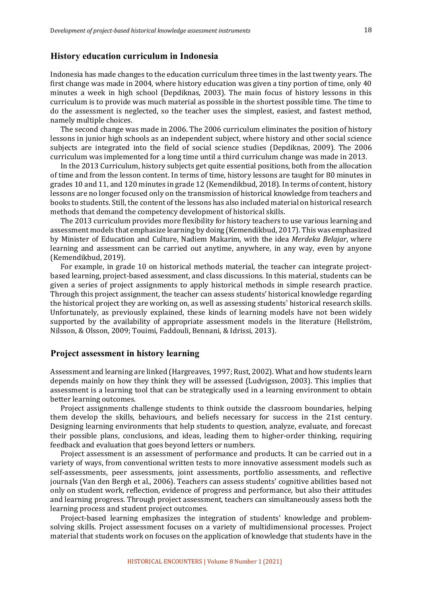#### **History education curriculum in Indonesia**

Indonesia has made changes to the education curriculum three times in the last twenty years. The first change was made in 2004, where history education was given a tiny portion of time, only 40 minutes a week in high school (Depdiknas, 2003). The main focus of history lessons in this curriculum is to provide was much material as possible in the shortest possible time. The time to do the assessment is neglected, so the teacher uses the simplest, easiest, and fastest method, namely multiple choices.

The second change was made in 2006. The 2006 curriculum eliminates the position of history lessons in junior high schools as an independent subject, where history and other social science subjects are integrated into the field of social science studies (Depdiknas, 2009). The 2006 curriculum was implemented for a long time until a third curriculum change was made in 2013.

In the 2013 Curriculum, history subjects get quite essential positions, both from the allocation of time and from the lesson content. In terms of time, history lessons are taught for 80 minutes in grades 10 and 11, and 120 minutes in grade 12 (Kemendikbud, 2018). In terms of content, history lessons are no longer focused only on the transmission of historical knowledge from teachers and books to students. Still, the content of the lessons has also included material on historical research methods that demand the competency development of historical skills.

The 2013 curriculum provides more flexibility for history teachers to use various learning and assessment models that emphasize learning by doing (Kemendikbud, 2017). This was emphasized by Minister of Education and Culture, Nadiem Makarim, with the idea *Merdeka Belajar*, where learning and assessment can be carried out anytime, anywhere, in any way, even by anyone (Kemendikbud, 2019).

For example, in grade 10 on historical methods material, the teacher can integrate projectbased learning, project-based assessment, and class discussions. In this material, students can be given a series of project assignments to apply historical methods in simple research practice. Through this project assignment, the teacher can assess students' historical knowledge regarding the historical project they are working on, as well as assessing students' historical research skills. Unfortunately, as previously explained, these kinds of learning models have not been widely supported by the availability of appropriate assessment models in the literature (Hellström, Nilsson, & Olsson, 2009; Touimi, Faddouli, Bennani, & Idrissi, 2013).

#### **Project assessment in history learning**

Assessment and learning are linked (Hargreaves, 1997; Rust, 2002). What and how students learn depends mainly on how they think they will be assessed (Ludvigsson, 2003). This implies that assessment is a learning tool that can be strategically used in a learning environment to obtain better learning outcomes.

Project assignments challenge students to think outside the classroom boundaries, helping them develop the skills, behaviours, and beliefs necessary for success in the 21st century. Designing learning environments that help students to question, analyze, evaluate, and forecast their possible plans, conclusions, and ideas, leading them to higher-order thinking, requiring feedback and evaluation that goes beyond letters or numbers.

Project assessment is an assessment of performance and products. It can be carried out in a variety of ways, from conventional written tests to more innovative assessment models such as self-assessments, peer assessments, joint assessments, portfolio assessments, and reflective journals (Van den Bergh et al., 2006). Teachers can assess students' cognitive abilities based not only on student work, reflection, evidence of progress and performance, but also their attitudes and learning progress. Through project assessment, teachers can simultaneously assess both the learning process and student project outcomes.

Project-based learning emphasizes the integration of students' knowledge and problemsolving skills. Project assessment focuses on a variety of multidimensional processes. Project material that students work on focuses on the application of knowledge that students have in the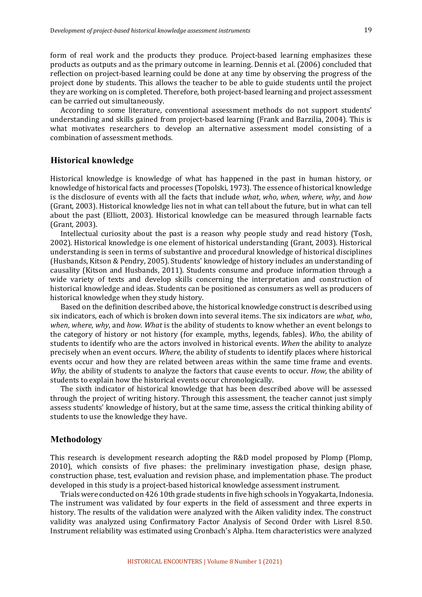form of real work and the products they produce. Project-based learning emphasizes these products as outputs and as the primary outcome in learning. Dennis et al. (2006) concluded that reflection on project-based learning could be done at any time by observing the progress of the project done by students. This allows the teacher to be able to guide students until the project they are working on is completed. Therefore, both project-based learning and project assessment can be carried out simultaneously.

According to some literature, conventional assessment methods do not support students' understanding and skills gained from project-based learning (Frank and Barzilia, 2004). This is what motivates researchers to develop an alternative assessment model consisting of a combination of assessment methods.

#### **Historical knowledge**

Historical knowledge is knowledge of what has happened in the past in human history, or knowledge of historical facts and processes (Topolski, 1973). The essence of historical knowledge is the disclosure of events with all the facts that include *what*, *who*, *when*, *where*, *why*, and *how* (Grant, 2003). Historical knowledge lies not in what can tell about the future, but in what can tell about the past (Elliott, 2003). Historical knowledge can be measured through learnable facts (Grant, 2003).

Intellectual curiosity about the past is a reason why people study and read history (Tosh, 2002). Historical knowledge is one element of historical understanding (Grant, 2003). Historical understanding is seen in terms of substantive and procedural knowledge of historical disciplines (Husbands, Kitson & Pendry, 2005). Students' knowledge of history includes an understanding of causality (Kitson and Husbands, 2011). Students consume and produce information through a wide variety of texts and develop skills concerning the interpretation and construction of historical knowledge and ideas. Students can be positioned as consumers as well as producers of historical knowledge when they study history.

Based on the definition described above, the historical knowledge construct is described using six indicators, each of which is broken down into several items. The six indicators are *what*, *who*, *when*, *where*, *why*, and *how. What* is the ability of students to know whether an event belongs to the category of history or not history (for example, myths, legends, fables). *Who*, the ability of students to identify who are the actors involved in historical events. When the ability to analyze precisely when an event occurs. Where, the ability of students to identify places where historical events occur and how they are related between areas within the same time frame and events. *Why*, the ability of students to analyze the factors that cause events to occur. *How*, the ability of students to explain how the historical events occur chronologically.

The sixth indicator of historical knowledge that has been described above will be assessed through the project of writing history. Through this assessment, the teacher cannot just simply assess students' knowledge of history, but at the same time, assess the critical thinking ability of students to use the knowledge they have.

#### **Methodology**

This research is development research adopting the R&D model proposed by Plomp (Plomp, 2010), which consists of five phases: the preliminary investigation phase, design phase, construction phase, test, evaluation and revision phase, and implementation phase. The product developed in this study is a project-based historical knowledge assessment instrument.

Trials were conducted on 426 10th grade students in five high schools in Yogyakarta, Indonesia. The instrument was validated by four experts in the field of assessment and three experts in history. The results of the validation were analyzed with the Aiken validity index. The construct validity was analyzed using Confirmatory Factor Analysis of Second Order with Lisrel 8.50. Instrument reliability was estimated using Cronbach's Alpha. Item characteristics were analyzed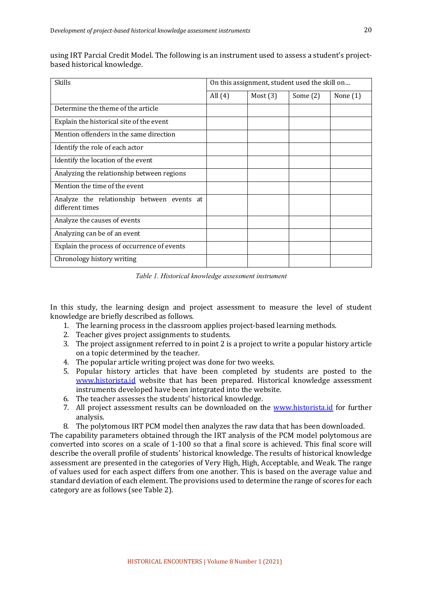| <b>Skills</b>                                                 | On this assignment, student used the skill on |            |            |            |
|---------------------------------------------------------------|-----------------------------------------------|------------|------------|------------|
|                                                               | All $(4)$                                     | Most $(3)$ | Some $(2)$ | None $(1)$ |
| Determine the theme of the article                            |                                               |            |            |            |
| Explain the historical site of the event                      |                                               |            |            |            |
| Mention offenders in the same direction                       |                                               |            |            |            |
| Identify the role of each actor                               |                                               |            |            |            |
| Identify the location of the event                            |                                               |            |            |            |
| Analyzing the relationship between regions                    |                                               |            |            |            |
| Mention the time of the event                                 |                                               |            |            |            |
| Analyze the relationship between events at<br>different times |                                               |            |            |            |
| Analyze the causes of events                                  |                                               |            |            |            |
| Analyzing can be of an event                                  |                                               |            |            |            |
| Explain the process of occurrence of events                   |                                               |            |            |            |
| Chronology history writing                                    |                                               |            |            |            |

using IRT Parcial Credit Model. The following is an instrument used to assess a student's projectbased historical knowledge.

*Table 1. Historical knowledge assessment instrument*

In this study, the learning design and project assessment to measure the level of student knowledge are briefly described as follows.

- 1. The learning process in the classroom applies project-based learning methods.
- 2. Teacher gives project assignments to students.
- 3. The project assignment referred to in point 2 is a project to write a popular history article on a topic determined by the teacher.
- 4. The popular article writing project was done for two weeks.
- 5. Popular history articles that have been completed by students are posted to the www.historista.id website that has been prepared. Historical knowledge assessment instruments developed have been integrated into the website.
- 6. The teacher assesses the students' historical knowledge.
- 7. All project assessment results can be downloaded on the www.historista.id for further analysis.
- 8. The polytomous IRT PCM model then analyzes the raw data that has been downloaded.

The capability parameters obtained through the IRT analysis of the PCM model polytomous are converted into scores on a scale of 1-100 so that a final score is achieved. This final score will describe the overall profile of students' historical knowledge. The results of historical knowledge assessment are presented in the categories of Very High, High, Acceptable, and Weak. The range of values used for each aspect differs from one another. This is based on the average value and standard deviation of each element. The provisions used to determine the range of scores for each category are as follows (see Table 2).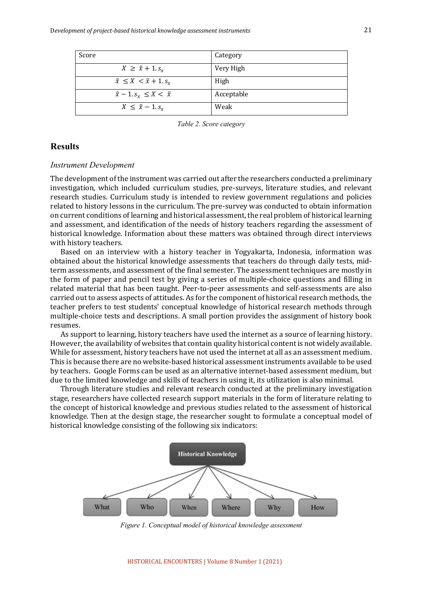| Score                                      | Category   |
|--------------------------------------------|------------|
| $X \geq \tilde{x} + 1$ . $s_x$             | Very High  |
| $\tilde{x} \leq X < \tilde{x} + 1$ . $s_x$ | High       |
| $\tilde{x} - 1$ . $s_x \leq X < \tilde{x}$ | Acceptable |
| $X \leq \tilde{x} - 1$ . $s_x$             | Weak       |

*Table 2. Score category*

#### **Results**

#### *Instrument Development*

The development of the instrument was carried out after the researchers conducted a preliminary investigation, which included curriculum studies, pre-surveys, literature studies, and relevant research studies. Curriculum study is intended to review government regulations and policies related to history lessons in the curriculum. The pre-survey was conducted to obtain information on current conditions of learning and historical assessment, the real problem of historical learning and assessment, and identification of the needs of history teachers regarding the assessment of historical knowledge. Information about these matters was obtained through direct interviews with history teachers.

Based on an interview with a history teacher in Yogyakarta, Indonesia, information was obtained about the historical knowledge assessments that teachers do through daily tests, midterm assessments, and assessment of the final semester. The assessment techniques are mostly in the form of paper and pencil test by giving a series of multiple-choice questions and filling in related material that has been taught. Peer-to-peer assessments and self-assessments are also carried out to assess aspects of attitudes. As for the component of historical research methods, the teacher prefers to test students' conceptual knowledge of historical research methods through multiple-choice tests and descriptions. A small portion provides the assignment of history book resumes.

As support to learning, history teachers have used the internet as a source of learning history. However, the availability of websites that contain quality historical content is not widely available. While for assessment, history teachers have not used the internet at all as an assessment medium. This is because there are no website-based historical assessment instruments available to be used by teachers. Google Forms can be used as an alternative internet-based assessment medium, but due to the limited knowledge and skills of teachers in using it, its utilization is also minimal.

Through literature studies and relevant research conducted at the preliminary investigation stage, researchers have collected research support materials in the form of literature relating to the concept of historical knowledge and previous studies related to the assessment of historical knowledge. Then at the design stage, the researcher sought to formulate a conceptual model of historical knowledge consisting of the following six indicators:



*Figure 1. Conceptual model of historical knowledge assessment*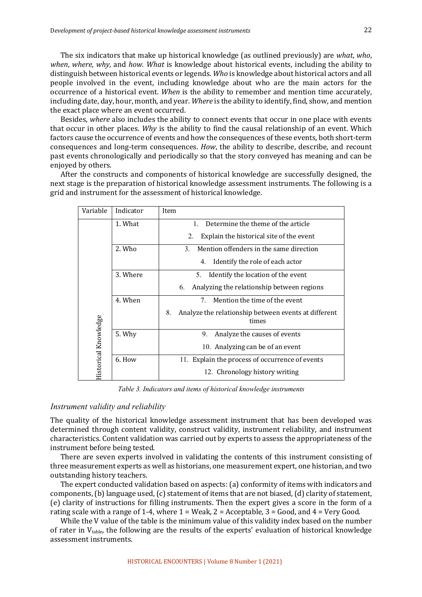The six indicators that make up historical knowledge (as outlined previously) are *what*, *who*, *when, where, why,* and *how. What* is knowledge about historical events, including the ability to distinguish between historical events or legends. Who is knowledge about historical actors and all people involved in the event, including knowledge about who are the main actors for the occurrence of a historical event. *When* is the ability to remember and mention time accurately, including date, day, hour, month, and year. Where is the ability to identify, find, show, and mention the exact place where an event occurred.

Besides, where also includes the ability to connect events that occur in one place with events that occur in other places. *Why* is the ability to find the causal relationship of an event. Which factors cause the occurrence of events and how the consequences of these events, both short-term consequences and long-term consequences. *How*, the ability to describe, describe, and recount past events chronologically and periodically so that the story conveyed has meaning and can be enjoyed by others.

After the constructs and components of historical knowledge are successfully designed, the next stage is the preparation of historical knowledge assessment instruments. The following is a grid and instrument for the assessment of historical knowledge.

| Variable             | Indicator                           | Item                                                                |  |  |  |  |  |
|----------------------|-------------------------------------|---------------------------------------------------------------------|--|--|--|--|--|
|                      | 1. What                             | Determine the theme of the article<br>$\mathbf{1}$ .                |  |  |  |  |  |
|                      |                                     | Explain the historical site of the event<br>2.                      |  |  |  |  |  |
|                      | 2. Who                              | Mention offenders in the same direction<br>3.                       |  |  |  |  |  |
|                      |                                     | Identify the role of each actor<br>4.                               |  |  |  |  |  |
|                      | 3. Where                            | Identify the location of the event<br>5.                            |  |  |  |  |  |
|                      |                                     | Analyzing the relationship between regions<br>6.                    |  |  |  |  |  |
|                      | Mention the time of the event<br>7. |                                                                     |  |  |  |  |  |
|                      |                                     | Analyze the relationship between events at different<br>8.<br>times |  |  |  |  |  |
|                      | 5. Why                              | 9.<br>Analyze the causes of events                                  |  |  |  |  |  |
| Historical Knowledge |                                     | 10. Analyzing can be of an event                                    |  |  |  |  |  |
|                      | 6. How                              | 11. Explain the process of occurrence of events                     |  |  |  |  |  |
|                      |                                     | 12. Chronology history writing                                      |  |  |  |  |  |

*Table 3. Indicators and items of historical knowledge instruments*

#### *Instrument validity and reliability*

The quality of the historical knowledge assessment instrument that has been developed was determined through content validity, construct validity, instrument reliability, and instrument characteristics. Content validation was carried out by experts to assess the appropriateness of the instrument before being tested.

There are seven experts involved in validating the contents of this instrument consisting of three measurement experts as well as historians, one measurement expert, one historian, and two outstanding history teachers.

The expert conducted validation based on aspects: (a) conformity of items with indicators and components,  $(b)$  language used,  $(c)$  statement of items that are not biased,  $(d)$  clarity of statement, (e) clarity of instructions for filling instruments. Then the expert gives a score in the form of a rating scale with a range of 1-4, where  $1 =$  Weak,  $2 =$  Acceptable,  $3 =$  Good, and  $4 =$  Very Good.

While the V value of the table is the minimum value of this validity index based on the number of rater in  $V_{table}$ , the following are the results of the experts' evaluation of historical knowledge assessment instruments.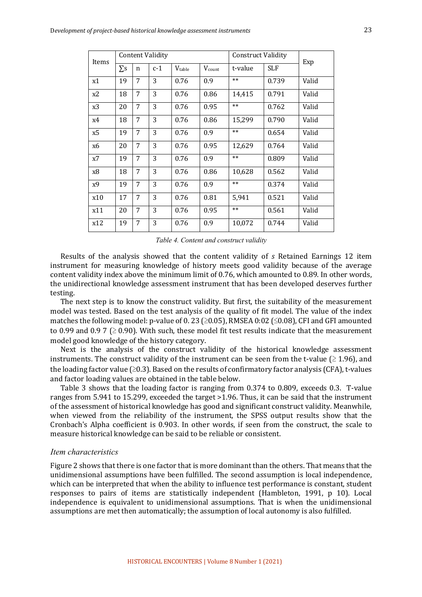| Items | <b>Content Validity</b> |   |       |        |                    | <b>Construct Validity</b> |            | Exp   |
|-------|-------------------------|---|-------|--------|--------------------|---------------------------|------------|-------|
|       | $\Sigma$ s              | n | $c-1$ | Vtable | $V_{\text{count}}$ | t-value                   | <b>SLF</b> |       |
| x1    | 19                      | 7 | 3     | 0.76   | 0.9                | $**$                      | 0.739      | Valid |
| x2    | 18                      | 7 | 3     | 0.76   | 0.86               | 14,415                    | 0.791      | Valid |
| x3    | 20                      | 7 | 3     | 0.76   | 0.95               | $**$                      | 0.762      | Valid |
| x4    | 18                      | 7 | 3     | 0.76   | 0.86               | 15,299                    | 0.790      | Valid |
| x5    | 19                      | 7 | 3     | 0.76   | 0.9                | $**$                      | 0.654      | Valid |
| x6    | 20                      | 7 | 3     | 0.76   | 0.95               | 12,629                    | 0.764      | Valid |
| x7    | 19                      | 7 | 3     | 0.76   | 0.9                | $**$                      | 0.809      | Valid |
| x8    | 18                      | 7 | 3     | 0.76   | 0.86               | 10,628                    | 0.562      | Valid |
| x9    | 19                      | 7 | 3     | 0.76   | 0.9                | $**$                      | 0.374      | Valid |
| x10   | 17                      | 7 | 3     | 0.76   | 0.81               | 5.941                     | 0.521      | Valid |
| x11   | 20                      | 7 | 3     | 0.76   | 0.95               | $**$                      | 0.561      | Valid |
| x12   | 19                      | 7 | 3     | 0.76   | 0.9                | 10,072                    | 0.744      | Valid |

*Table 4. Content and construct validity*

Results of the analysis showed that the content validity of *s* Retained Earnings 12 item instrument for measuring knowledge of history meets good validity because of the average content validity index above the minimum limit of 0.76, which amounted to 0.89. In other words, the unidirectional knowledge assessment instrument that has been developed deserves further testing.

The next step is to know the construct validity. But first, the suitability of the measurement model was tested. Based on the test analysis of the quality of fit model. The value of the index matches the following model: p-value of 0. 23 ( $\geq$ 0.05), RMSEA 0:02 ( $\leq$ 0.08), CFI and GFI amounted to 0.99 and 0.9 7 ( $\geq$  0.90). With such, these model fit test results indicate that the measurement model good knowledge of the history category.

Next is the analysis of the construct validity of the historical knowledge assessment instruments. The construct validity of the instrument can be seen from the t-value  $(≥ 1.96)$ , and the loading factor value  $(≥0.3)$ . Based on the results of confirmatory factor analysis  $(CFA)$ , t-values and factor loading values are obtained in the table below.

Table 3 shows that the loading factor is ranging from  $0.374$  to  $0.809$ , exceeds 0.3. T-value ranges from 5.941 to 15.299, exceeded the target >1.96. Thus, it can be said that the instrument of the assessment of historical knowledge has good and significant construct validity. Meanwhile, when viewed from the reliability of the instrument, the SPSS output results show that the Cronbach's Alpha coefficient is 0.903. In other words, if seen from the construct, the scale to measure historical knowledge can be said to be reliable or consistent.

#### *Item characteristics*

Figure 2 shows that there is one factor that is more dominant than the others. That means that the unidimensional assumptions have been fulfilled. The second assumption is local independence, which can be interpreted that when the ability to influence test performance is constant, student responses to pairs of items are statistically independent (Hambleton, 1991, p 10). Local independence is equivalent to unidimensional assumptions. That is when the unidimensional assumptions are met then automatically; the assumption of local autonomy is also fulfilled.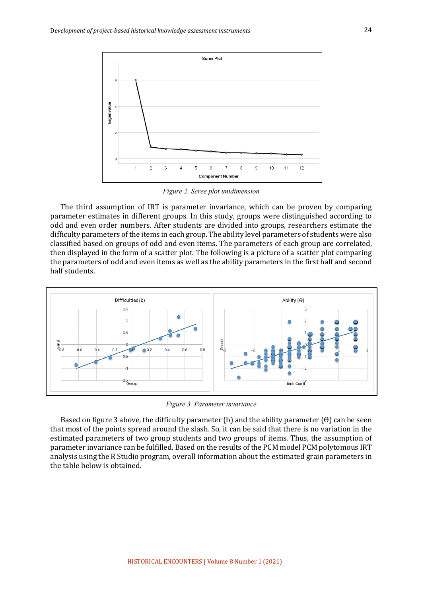

*Figure 2. Scree plot unidimension* 

The third assumption of IRT is parameter invariance, which can be proven by comparing parameter estimates in different groups. In this study, groups were distinguished according to odd and even order numbers. After students are divided into groups, researchers estimate the difficulty parameters of the items in each group. The ability level parameters of students were also classified based on groups of odd and even items. The parameters of each group are correlated, then displayed in the form of a scatter plot. The following is a picture of a scatter plot comparing the parameters of odd and even items as well as the ability parameters in the first half and second half students.



*Figure 3. Parameter invariance*

Based on figure 3 above, the difficulty parameter (b) and the ability parameter  $(\theta)$  can be seen that most of the points spread around the slash. So, it can be said that there is no variation in the estimated parameters of two group students and two groups of items. Thus, the assumption of parameter invariance can be fulfilled. Based on the results of the PCM model PCM polytomous IRT analysis using the R Studio program, overall information about the estimated grain parameters in the table below is obtained.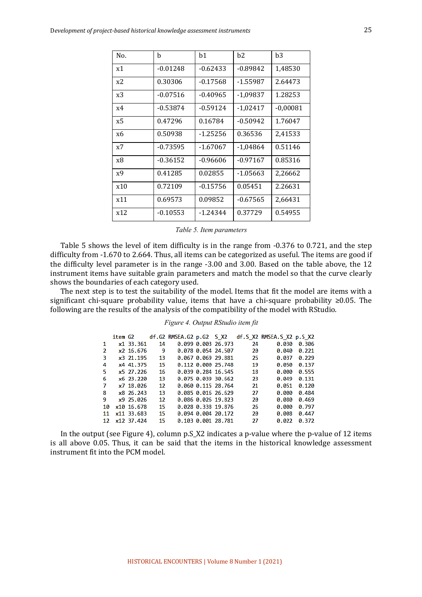| No. | h          | b1         | b2         | b3         |
|-----|------------|------------|------------|------------|
| x1  | $-0.01248$ | $-0.62433$ | $-0.89842$ | 1,48530    |
| x2  | 0.30306    | $-0.17568$ | $-1.55987$ | 2.64473    |
| x3  | $-0.07516$ | $-0.40965$ | $-1,09837$ | 1.28253    |
| x4  | -0.53874   | $-0.59124$ | $-1,02417$ | $-0,00081$ |
| x5  | 0.47296    | 0.16784    | $-0.50942$ | 1.76047    |
| x6  | 0.50938    | $-1.25256$ | 0.36536    | 2,41533    |
| x7  | $-0.73595$ | $-1.67067$ | $-1,04864$ | 0.51146    |
| x8  | $-0.36152$ | $-0.96606$ | $-0.97167$ | 0.85316    |
| x9  | 0.41285    | 0.02855    | $-1.05663$ | 2,26662    |
| x10 | 0.72109    | $-0.15756$ | 0.05451    | 2.26631    |
| x11 | 0.69573    | 0.09852    | $-0.67565$ | 2,66431    |
| x12 | $-0.10553$ | $-1.24344$ | 0.37729    | 0.54955    |

*Table 5. Item parameters*

Table 5 shows the level of item difficulty is in the range from -0.376 to 0.721, and the step difficulty from -1.670 to 2.664. Thus, all items can be categorized as useful. The items are good if the difficulty level parameter is in the range -3.00 and 3.00. Based on the table above, the 12 instrument items have suitable grain parameters and match the model so that the curve clearly shows the boundaries of each category used.

The next step is to test the suitability of the model. Items that fit the model are items with a significant chi-square probability value, items that have a chi-square probability  $\geq 0.05$ . The following are the results of the analysis of the compatibility of the model with RStudio.

#### *Figure 4. Output RStudio item fit*

|     | item G2 |             |    |  |                    |    | df.G2 RMSEA.G2 p.G2 S X2 df.S X2 RMSEA.S X2 p.S X2 |       |
|-----|---------|-------------|----|--|--------------------|----|----------------------------------------------------|-------|
| 1   |         | x1 33.361   | 14 |  | 0.099 0.003 26.973 | 24 | 0.030                                              | 0.306 |
| 2   |         | x2 16.676   | 9  |  | 0.078 0.054 24.507 | 20 | 0.040                                              | 0.221 |
| 3   |         | x3 21.195   | 13 |  | 0.067 0.069 29.881 | 25 | 0.037                                              | 0.229 |
| 4   |         | x4 41.375   | 15 |  | 0.112 0.000 25.748 | 19 | 0.050                                              | 0.137 |
| 5.  |         | x5 27.226   | 16 |  | 0.039 0.284 16.545 | 18 | 0.000                                              | 0.555 |
| 6   |         | $x6$ 23.220 | 13 |  | 0.075 0.039 30.662 | 23 | 0.049                                              | 0.131 |
| 7   |         | x7 18,026   | 12 |  | 0.060 0.115 28.764 | 21 | 0.051                                              | 0.120 |
| 8   |         | x8 26.243   | 13 |  | 0.085 0.016 26.629 | 27 | 0.000                                              | 0.484 |
| 9   |         | x925.026    | 12 |  | 0.086 0.026 19.823 | 20 | 0.080                                              | 0.469 |
| 10  |         | x10 16.678  | 15 |  | 0.028 0.338 19.876 | 26 | 0.000                                              | 0.797 |
| 11  |         | x11 33.683  | 15 |  | 0.094 0.004 20.172 | 20 | 0.008                                              | 0.447 |
| 12. |         | x12 37.424  | 15 |  | 0.103 0.001 28.781 | 27 | 0.022                                              | 0.372 |
|     |         |             |    |  |                    |    |                                                    |       |

In the output (see Figure 4), column p.S\_X2 indicates a p-value where the p-value of 12 items is all above 0.05. Thus, it can be said that the items in the historical knowledge assessment instrument fit into the PCM model.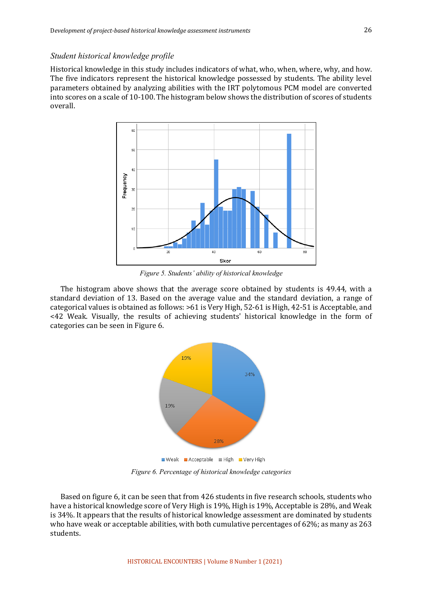#### *Student historical knowledge profile*

Historical knowledge in this study includes indicators of what, who, when, where, why, and how. The five indicators represent the historical knowledge possessed by students. The ability level parameters obtained by analyzing abilities with the IRT polytomous PCM model are converted into scores on a scale of 10-100. The histogram below shows the distribution of scores of students overall.



*Figure 5. Students' ability of historical knowledge*

The histogram above shows that the average score obtained by students is 49.44, with a standard deviation of 13. Based on the average value and the standard deviation, a range of categorical values is obtained as follows:  $>61$  is Very High, 52-61 is High, 42-51 is Acceptable, and  $\leq$  42 Weak. Visually, the results of achieving students' historical knowledge in the form of categories can be seen in Figure 6.



*Figure 6. Percentage of historical knowledge categories*

Based on figure 6, it can be seen that from 426 students in five research schools, students who have a historical knowledge score of Very High is 19%, High is 19%, Acceptable is 28%, and Weak is 34%. It appears that the results of historical knowledge assessment are dominated by students who have weak or acceptable abilities, with both cumulative percentages of  $62\%$ ; as many as  $263$ students.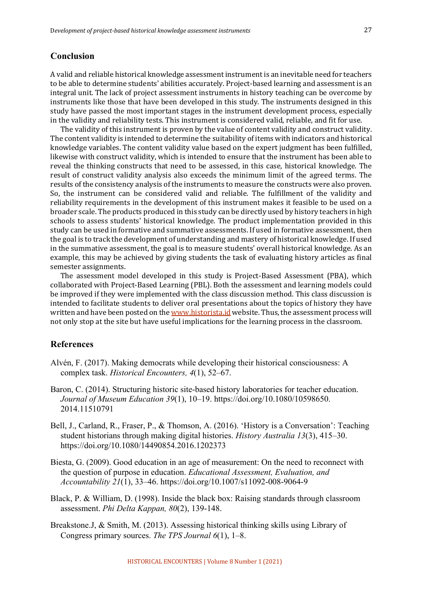#### **Conclusion**

A valid and reliable historical knowledge assessment instrument is an inevitable need for teachers to be able to determine students' abilities accurately. Project-based learning and assessment is an integral unit. The lack of project assessment instruments in history teaching can be overcome by instruments like those that have been developed in this study. The instruments designed in this study have passed the most important stages in the instrument development process, especially in the validity and reliability tests. This instrument is considered valid, reliable, and fit for use.

The validity of this instrument is proven by the value of content validity and construct validity. The content validity is intended to determine the suitability of items with indicators and historical knowledge variables. The content validity value based on the expert judgment has been fulfilled, likewise with construct validity, which is intended to ensure that the instrument has been able to reveal the thinking constructs that need to be assessed, in this case, historical knowledge. The result of construct validity analysis also exceeds the minimum limit of the agreed terms. The results of the consistency analysis of the instruments to measure the constructs were also proven. So, the instrument can be considered valid and reliable. The fulfillment of the validity and reliability requirements in the development of this instrument makes it feasible to be used on a broader scale. The products produced in this study can be directly used by history teachers in high schools to assess students' historical knowledge. The product implementation provided in this study can be used in formative and summative assessments. If used in formative assessment, then the goal is to track the development of understanding and mastery of historical knowledge. If used in the summative assessment, the goal is to measure students' overall historical knowledge. As an example, this may be achieved by giving students the task of evaluating history articles as final semester assignments.

The assessment model developed in this study is Project-Based Assessment (PBA), which collaborated with Project-Based Learning (PBL). Both the assessment and learning models could be improved if they were implemented with the class discussion method. This class discussion is intended to facilitate students to deliver oral presentations about the topics of history they have written and have been posted on the www.historista.id website. Thus, the assessment process will not only stop at the site but have useful implications for the learning process in the classroom.

#### **References**

- Alvén, F. (2017). Making democrats while developing their historical consciousness: A complex task. *Historical Encounters, 4*(1), 52–67.
- Baron, C. (2014). Structuring historic site-based history laboratories for teacher education. *Journal of Museum Education 39*(1), 10–19. https://doi.org/10.1080/10598650. 2014.11510791
- Bell, J., Carland, R., Fraser, P., & Thomson, A. (2016). 'History is a Conversation': Teaching student historians through making digital histories. *History Australia 13*(3), 415–30. https://doi.org/10.1080/14490854.2016.1202373
- Biesta, G. (2009). Good education in an age of measurement: On the need to reconnect with the question of purpose in education. *Educational Assessment, Evaluation, and Accountability 21*(1), 33–46. https://doi.org/10.1007/s11092-008-9064-9
- Black, P. & William, D. (1998). Inside the black box: Raising standards through classroom assessment. *Phi Delta Kappan, 80*(2), 139-148.
- Breakstone.J, & Smith, M. (2013). Assessing historical thinking skills using Library of Congress primary sources. *The TPS Journal 6*(1), 1–8.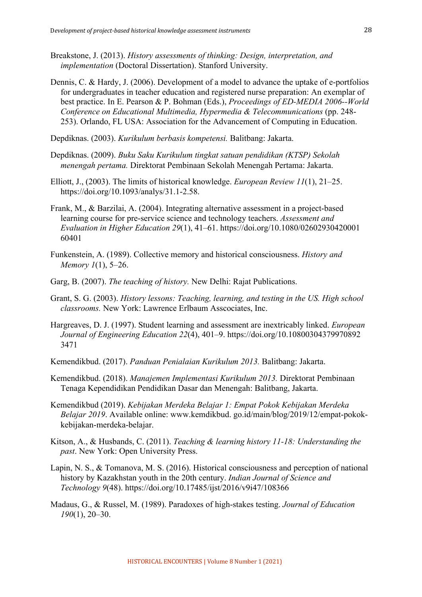- Breakstone, J. (2013). *History assessments of thinking: Design, interpretation, and implementation* (Doctoral Dissertation). Stanford University.
- Dennis, C. & Hardy, J. (2006). Development of a model to advance the uptake of e-portfolios for undergraduates in teacher education and registered nurse preparation: An exemplar of best practice. In E. Pearson & P. Bohman (Eds.), *Proceedings of ED-MEDIA 2006--World Conference on Educational Multimedia, Hypermedia & Telecommunications* (pp. 248- 253). Orlando, FL USA: Association for the Advancement of Computing in Education.
- Depdiknas. (2003). *Kurikulum berbasis kompetensi.* Balitbang: Jakarta.
- Depdiknas. (2009). *Buku Saku Kurikulum tingkat satuan pendidikan (KTSP) Sekolah menengah pertama.* Direktorat Pembinaan Sekolah Menengah Pertama: Jakarta.
- Elliott, J., (2003). The limits of historical knowledge. *European Review 11*(1), 21–25. https://doi.org/10.1093/analys/31.1-2.58.
- Frank, M., & Barzilai, A. (2004). Integrating alternative assessment in a project-based learning course for pre-service science and technology teachers. *Assessment and Evaluation in Higher Education 29*(1), 41–61. https://doi.org/10.1080/02602930420001 60401
- Funkenstein, A. (1989). Collective memory and historical consciousness. *History and Memory 1*(1), 5–26.
- Garg, B. (2007). *The teaching of history.* New Delhi: Rajat Publications.
- Grant, S. G. (2003). *History lessons: Teaching, learning, and testing in the US. High school classrooms.* New York: Lawrence Erlbaum Asscociates, Inc.
- Hargreaves, D. J. (1997). Student learning and assessment are inextricably linked. *European Journal of Engineering Education 22*(4), 401–9. https://doi.org/10.10800304379970892 3471
- Kemendikbud. (2017). *Panduan Penialaian Kurikulum 2013.* Balitbang: Jakarta.
- Kemendikbud. (2018). *Manajemen Implementasi Kurikulum 2013.* Direktorat Pembinaan Tenaga Kependidikan Pendidikan Dasar dan Menengah: Balitbang, Jakarta.
- Kemendikbud (2019). *Kebijakan Merdeka Belajar 1: Empat Pokok Kebijakan Merdeka Belajar 2019*. Available online: www.kemdikbud. go.id/main/blog/2019/12/empat-pokokkebijakan-merdeka-belajar.
- Kitson, A., & Husbands, C. (2011). *Teaching & learning history 11-18: Understanding the past*. New York: Open University Press.
- Lapin, N. S., & Tomanova, M. S. (2016). Historical consciousness and perception of national history by Kazakhstan youth in the 20th century. *Indian Journal of Science and Technology 9*(48). https://doi.org/10.17485/ijst/2016/v9i47/108366
- Madaus, G., & Russel, M. (1989). Paradoxes of high-stakes testing. *Journal of Education 190*(1), 20–30.